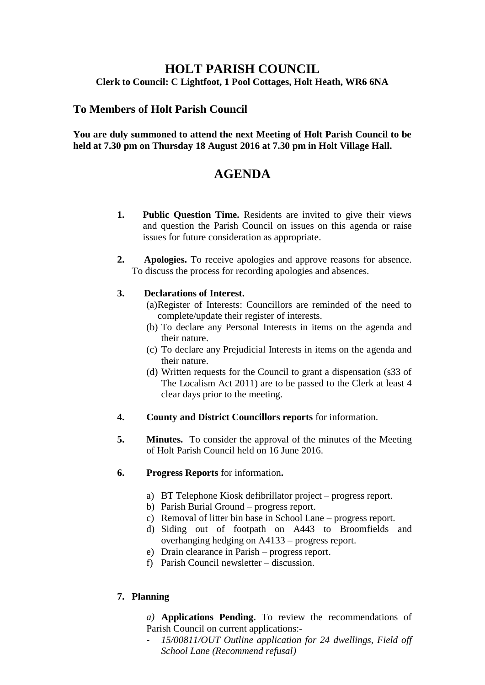## **HOLT PARISH COUNCIL Clerk to Council: C Lightfoot, 1 Pool Cottages, Holt Heath, WR6 6NA**

## **To Members of Holt Parish Council**

#### **You are duly summoned to attend the next Meeting of Holt Parish Council to be held at 7.30 pm on Thursday 18 August 2016 at 7.30 pm in Holt Village Hall.**

# **AGENDA**

- **1. Public Question Time.** Residents are invited to give their views and question the Parish Council on issues on this agenda or raise issues for future consideration as appropriate.
- **2. Apologies.** To receive apologies and approve reasons for absence. To discuss the process for recording apologies and absences.

### **3. Declarations of Interest.**

- (a)Register of Interests: Councillors are reminded of the need to complete/update their register of interests.
- (b) To declare any Personal Interests in items on the agenda and their nature.
- (c) To declare any Prejudicial Interests in items on the agenda and their nature.
- (d) Written requests for the Council to grant a dispensation (s33 of The Localism Act 2011) are to be passed to the Clerk at least 4 clear days prior to the meeting.
- **4. County and District Councillors reports** for information.
- **5. Minutes.** To consider the approval of the minutes of the Meeting of Holt Parish Council held on 16 June 2016.
- **6. Progress Reports** for information**.**
	- a) BT Telephone Kiosk defibrillator project progress report.
	- b) Parish Burial Ground progress report.
	- c) Removal of litter bin base in School Lane progress report.
	- d) Siding out of footpath on A443 to Broomfields and overhanging hedging on A4133 – progress report.
	- e) Drain clearance in Parish progress report.
	- f) Parish Council newsletter discussion.

### **7. Planning**

### *a)* **Applications Pending.** To review the recommendations of Parish Council on current applications:-

**-** *15/00811/OUT Outline application for 24 dwellings, Field off School Lane (Recommend refusal)*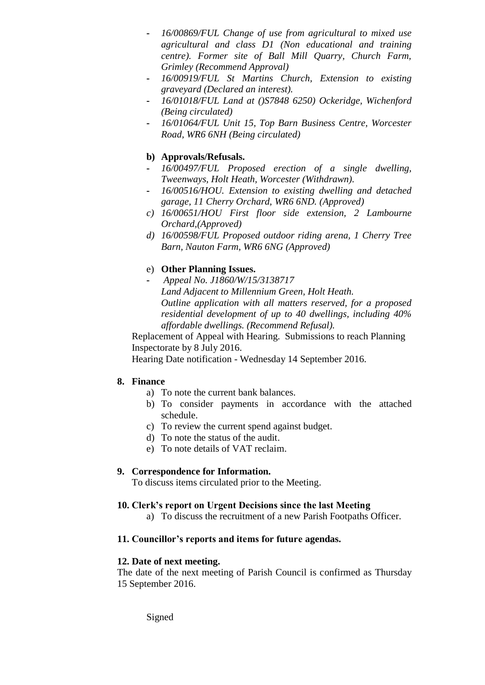- **-** *16/00869/FUL Change of use from agricultural to mixed use agricultural and class D1 (Non educational and training centre). Former site of Ball Mill Quarry, Church Farm, Grimley (Recommend Approval)*
- **-** *16/00919/FUL St Martins Church, Extension to existing graveyard (Declared an interest).*
- **-** *16/01018/FUL Land at ()S7848 6250) Ockeridge, Wichenford (Being circulated)*
- **-** *16/01064/FUL Unit 15, Top Barn Business Centre, Worcester Road, WR6 6NH (Being circulated)*

## **b) Approvals/Refusals.**

- **-** *16/00497/FUL Proposed erection of a single dwelling, Tweenways, Holt Heath, Worcester (Withdrawn).*
- **-** *16/00516/HOU. Extension to existing dwelling and detached garage, 11 Cherry Orchard, WR6 6ND. (Approved)*
- *c) 16/00651/HOU First floor side extension, 2 Lambourne Orchard,(Approved)*
- *d) 16/00598/FUL Proposed outdoor riding arena, 1 Cherry Tree Barn, Nauton Farm, WR6 6NG (Approved)*

## e) **Other Planning Issues.**

**-** *Appeal No. J1860/W/15/3138717 Land Adjacent to Millennium Green, Holt Heath. Outline application with all matters reserved, for a proposed residential development of up to 40 dwellings, including 40% affordable dwellings. (Recommend Refusal).*

Replacement of Appeal with Hearing. Submissions to reach Planning Inspectorate by 8 July 2016.

Hearing Date notification - Wednesday 14 September 2016.

#### **8. Finance**

- a) To note the current bank balances.
- b) To consider payments in accordance with the attached schedule.
- c) To review the current spend against budget.
- d) To note the status of the audit.
- e) To note details of VAT reclaim.

### **9. Correspondence for Information.**

To discuss items circulated prior to the Meeting.

#### **10. Clerk's report on Urgent Decisions since the last Meeting**

a) To discuss the recruitment of a new Parish Footpaths Officer.

#### **11. Councillor's reports and items for future agendas.**

#### **12. Date of next meeting.**

The date of the next meeting of Parish Council is confirmed as Thursday 15 September 2016.

Signed